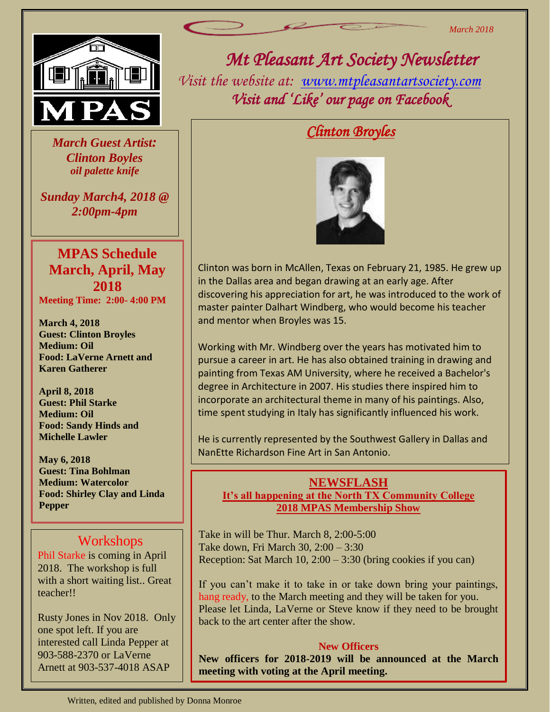

 *March Guest Artist: Clinton Boyles oil palette knife*

*Sunday March4, 2018 @ 2:00pm-4pm*

## **MPAS Schedule March, April, May 2018**

**Meeting Time: 2:00- 4:00 PM**

**March 4, 2018 Guest: Clinton Broyles Medium: Oil Food: LaVerne Arnett and Karen Gatherer**

**April 8, 2018 Guest: Phil Starke Medium: Oil Food: Sandy Hinds and Michelle Lawler**

**May 6, 2018 Guest: Tina Bohlman Medium: Watercolor Food: Shirley Clay and Linda Pepper**

### Workshops

Phil Starke is coming in April 2018. The workshop is full with a short waiting list.. Great teacher!!

Rusty Jones in Nov 2018. Only one spot left. If you are interested call Linda Pepper at 903-588-2370 or LaVerne Arnett at 903-537-4018 ASAP

*Mt Pleasant Art Society Newsletter Visit the website at: [www.mtpleasantartsociety.com](http://www.mtpleasantartsociety.com/) Visit and 'Like' our page on Facebook* 

# *Clinton Broyles*



Clinton was born in McAllen, Texas on February 21, 1985. He grew up in the Dallas area and began drawing at an early age. After discovering his appreciation for art, he was introduced to the work of master painter Dalhart Windberg, who would become his teacher and mentor when Broyles was 15.

Working with Mr. Windberg over the years has motivated him to pursue a career in art. He has also obtained training in drawing and painting from Texas AM University, where he received a Bachelor's degree in Architecture in 2007. His studies there inspired him to incorporate an architectural theme in many of his paintings. Also, time spent studying in Italy has significantly influenced his work.

He is currently represented by the Southwest Gallery in Dallas and NanEtte Richardson Fine Art in San Antonio.

### **NEWSFLASH It's all happening at the North TX Community College 2018 MPAS Membership Show**

Take in will be Thur. March 8, 2:00-5:00 Take down, Fri March 30, 2:00 – 3:30 Reception: Sat March 10, 2:00 – 3:30 (bring cookies if you can)

If you can't make it to take in or take down bring your paintings, hang ready, to the March meeting and they will be taken for you. Please let Linda, LaVerne or Steve know if they need to be brought back to the art center after the show.

#### **New Officers**

**New officers for 2018-2019 will be announced at the March meeting with voting at the April meeting.**